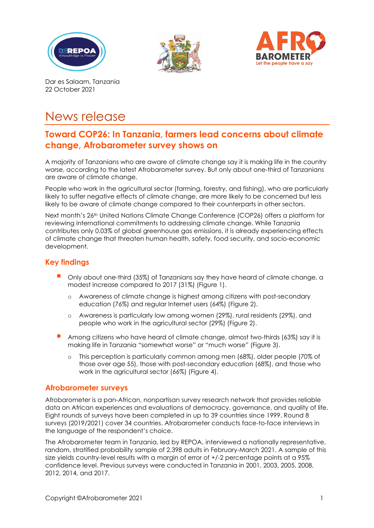





Dar es Salaam, Tanzania 22 October 2021

# News release

# **Toward COP26: In Tanzania, farmers lead concerns about climate change, Afrobarometer survey shows on**

A majority of Tanzanians who are aware of climate change say it is making life in the country worse, according to the latest Afrobarometer survey. But only about one-third of Tanzanians are aware of climate change.

People who work in the agricultural sector (farming, forestry, and fishing), who are particularly likely to suffer negative effects of climate change, are more likely to be concerned but less likely to be aware of climate change compared to their counterparts in other sectors.

Next month's 26<sup>th</sup> United Nations Climate Change Conference (COP26) offers a platform for reviewing international commitments to addressing climate change. While Tanzania contributes only 0.03% of global greenhouse gas emissions, it is already experiencing effects of climate change that threaten human health, safety, food security, and socio-economic development.

## **Key findings**

- Only about one-third (35%) of Tanzanians say they have heard of climate change, a modest increase compared to 2017 (31%) (Figure 1).
	- o Awareness of climate change is highest among citizens with post-secondary education (76%) and regular Internet users (64%) (Figure 2).
	- o Awareness is particularly low among women (29%), rural residents (29%), and people who work in the agricultural sector (29%) (Figure 2).
- Among citizens who have heard of climate change, almost two-thirds (63%) say it is making life in Tanzania "somewhat worse" or "much worse" (Figure 3).
	- o This perception is particularly common among men (68%), older people (70% of those over age 55), those with post-secondary education (68%), and those who work in the agricultural sector (66%) (Figure 4).

#### **Afrobarometer surveys**

Afrobarometer is a pan-African, nonpartisan survey research network that provides reliable data on African experiences and evaluations of democracy, governance, and quality of life. Eight rounds of surveys have been completed in up to 39 countries since 1999. Round 8 surveys (2019/2021) cover 34 countries. Afrobarometer conducts face-to-face interviews in the language of the respondent's choice.

The Afrobarometer team in Tanzania, led by REPOA, interviewed a nationally representative, random, stratified probability sample of 2,398 adults in February-March 2021. A sample of this size yields country-level results with a margin of error of +/-2 percentage points at a 95% confidence level. Previous surveys were conducted in Tanzania in 2001, 2003, 2005, 2008, 2012, 2014, and 2017.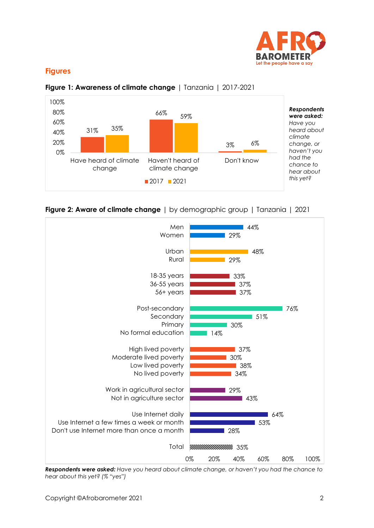

### **Figures**



![](_page_1_Figure_3.jpeg)

![](_page_1_Figure_4.jpeg)

![](_page_1_Figure_5.jpeg)

*Respondents were asked: Have you heard about climate change, or haven't you had the chance to hear about this yet? (% "yes")*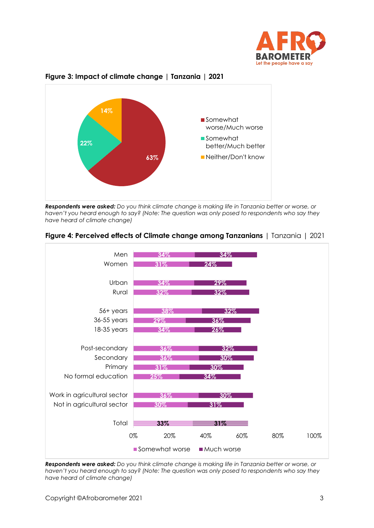![](_page_2_Picture_0.jpeg)

![](_page_2_Figure_1.jpeg)

#### **Figure 3: Impact of climate change | Tanzania | 2021**

*Respondents were asked: Do you think climate change is making life in Tanzania better or worse, or haven't you heard enough to say? (Note: The question was only posed to respondents who say they have heard of climate change)*

![](_page_2_Figure_4.jpeg)

![](_page_2_Figure_5.jpeg)

*Respondents were asked: Do you think climate change is making life in Tanzania better or worse, or haven't you heard enough to say? (Note: The question was only posed to respondents who say they have heard of climate change)*